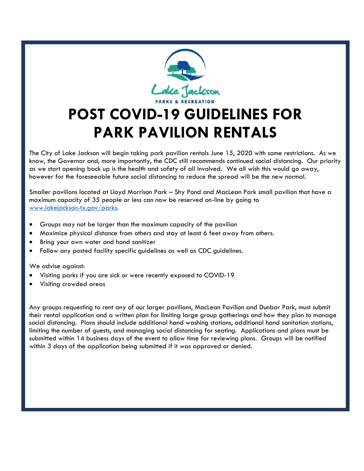

## **POST COVID-19 GUIDELINES FOR PARK PAVILION RENTALS**

The City of Lake Jackson will begin taking park pavilion rentals June 15, 2020 with some restrictions. As we know, the Governor and, more importantly, the CDC still recommends continued social distancing. Our priority as we start opening back up is the health and safety of all involved. We all wish this would go away, however for the foreseeable future social distancing to reduce the spread will be the new normal.

Smaller pavilions located at Lloyd Morrison Park – Shy Pond and MacLean Park small pavilion that have a maximum capacity of 35 people or less can now be reserved on-line by going to [www.lakejackson-tx.gov/parks.](http://www.lakejackson-tx.gov/parks)

- Groups may not be larger than the maximum capacity of the pavilion
- Maximize physical distance from others and stay at least 6 feet away from others.
- Bring your own water and hand sanitizer
- Follow any posted facility specific guidelines as well as CDC guidelines.

We advise against:

- Visiting parks if you are sick or were recently exposed to COVID-19
- Visiting crowded areas

Any groups requesting to rent any of our larger pavilions, MacLean Pavilion and Dunbar Park, must submit their rental application and a written plan for limiting large group gatherings and how they plan to manage social distancing. Plans should include additional hand washing stations, additional hand sanitation stations, limiting the number of guests, and managing social distancing for seating. Applications and plans must be submitted within 14 business days of the event to allow time for reviewing plans. Groups will be notified within 3 days of the application being submitted if it was approved or denied.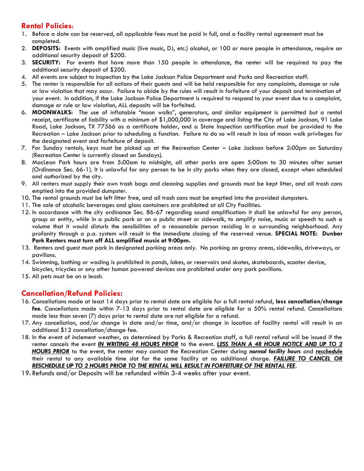## **Rental Policies:**

- 1. Before a date can be reserved, all applicable fees must be paid in full, and a facility rental agreement must be completed.
- 2. **DEPOSITS:** Events with amplified music (live music, DJ, etc.) alcohol, or 100 or more people in attendance, require an additional security deposit of \$200.
- 3. **SECURITY:** For events that have more than 150 people in attendance, the renter will be required to pay the additional security deposit of \$200.
- 4. All events are subject to inspection by the Lake Jackson Police Department and Parks and Recreation staff.
- 5. The renter is responsible for all actions of their guests and will be held responsible for any complaints, damage or rule or law violation that may occur. Failure to abide by the rules will result in forfeiture of your deposit and termination of your event. In addition, if the Lake Jackson Police Department is required to respond to your event due to a complaint, damage or rule or law violation, ALL deposits will be forfeited.
- 6. **MOONWALKS:** The use of inflatable "moon walks", generators, and similar equipment is permitted but a rental receipt, certificate of liability with a minimum of \$1,000,000 in coverage and listing the City of Lake Jackson, 91 Lake Road, Lake Jackson, TX 77566 as a certificate holder, and a State Inspection certification must be provided to the Recreation – Lake Jackson prior to scheduling a function. Failure to do so will result in loss of moon walk privileges for the designated event and forfeiture of deposit.
- 7. For Sunday rentals, keys must be picked up at the Recreation Center Lake Jackson before 2:00pm on Saturday (Recreation Center is currently closed on Sundays).
- 8. MacLean Park hours are from 5:00am to midnight, all other parks are open 5:00am to 30 minutes after sunset (Ordinance Sec. 66-1). It is unlawful for any person to be in city parks when they are closed, except when scheduled and authorized by the city.
- 9. All renters must supply their own trash bags and cleaning supplies and grounds must be kept litter, and all trash cans emptied into the provided dumpster.
- 10. The rental grounds must be left litter free, and all trash cans must be emptied into the provided dumpsters.
- 11. The sale of alcoholic beverages and glass containers are prohibited at all City Facilities.
- 12. In accordance with the city ordinance Sec. 86-67 regarding sound amplification: it shall be unlawful for any person, group or entity, while in a public park or on a public street or sidewalk, to amplify noise, music or speech to such a volume that it would disturb the sensibilities of a reasonable person residing in a surrounding neighborhood. Any profanity through a p.a. system will result in the immediate closing of the reserved venue. **SPECIAL NOTE: Dunbar Park Renters must turn off ALL amplified music at 9:00pm.**
- 13. Renters and guest must park in designated parking areas only. No parking on grassy areas, sidewalks, driveways, or pavilions.
- 14. Swimming, bathing or wading is prohibited in ponds, lakes, or reservoirs and skates, skateboards, scooter device, bicycles, tricycles or any other human powered devices are prohibited under any park pavilions.
- 15. All pets must be on a leash.

## **Cancellation/Refund Policies:**

- 16. Cancellations made at least 14 days prior to rental date are eligible for a full rental refund, **less cancellation/change fee**. Cancellations made within 7-13 days prior to rental date are eligible for a 50% rental refund. Cancellations made less than seven (7) days prior to rental date are not eligible for a refund.
- 17. Any cancellation, and/or change in date and/or time, and/or change in location of facility rental will result in an additional \$12 cancellation/change fee.
- 18. In the event of inclement weather, as determined by Parks & Recreation staff, a full rental refund will be issued if the renter cancels the event *IN WRITING 48 HOURS PRIOR* to the event. *LESS THAN A 48 HOUR NOTICE AND UP TO 2 HOURS PRIOR* to the event, the renter may contact the Recreation Center during *normal facility hours* and *reschedule* their rental to any available time slot for the same facility at no additional charge. *FAILURE TO CANCEL OR RESCHEDULE UP TO 2 HOURS PRIOR TO THE RENTAL WILL RESULT IN FORFEITURE OF THE RENTAL FEE*.
- 19. Refunds and/or Deposits will be refunded within 3-4 weeks after your event.